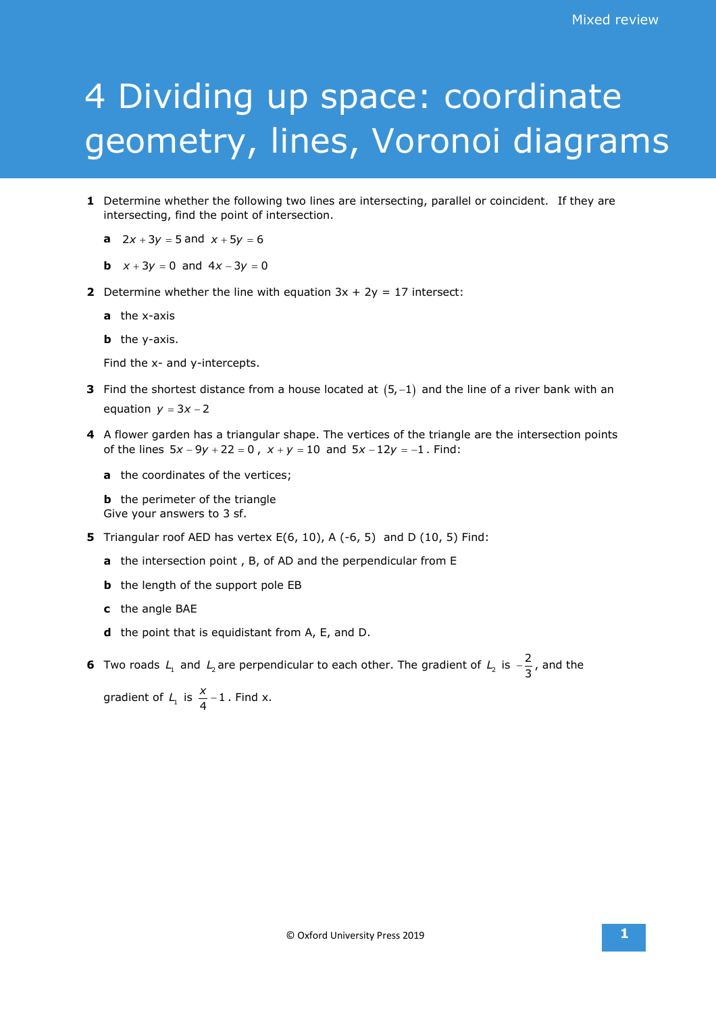## 4 Dividing up space: coordinate geometry, lines, Voronoi diagrams

- **1** Determine whether the following two lines are intersecting, parallel or coincident. If they are intersecting, find the point of intersection.
	- **a**  $2x + 3y = 5$  and  $x + 5y = 6$
	- **b**  $x + 3y = 0$  and  $4x 3y = 0$
- **2** Determine whether the line with equation  $3x + 2y = 17$  intersect:
	- **a** the x-axis
	- **b** the y-axis.

Find the x- and y-intercepts.

- **3** Find the shortest distance from a house located at  $(5, -1)$  and the line of a river bank with an equation  $y = 3x - 2$
- **4** A flower garden has a triangular shape. The vertices of the triangle are the intersection points of the lines  $5x - 9y + 22 = 0$ ,  $x + y = 10$  and  $5x - 12y = -1$ . Find:
	- **a** the coordinates of the vertices;

**b** the perimeter of the triangle Give your answers to 3 sf.

- **5** Triangular roof AED has vertex E(6, 10), A (-6, 5) and D (10, 5) Find:
	- **a** the intersection point , B, of AD and the perpendicular from E
	- **b** the length of the support pole EB
	- **c** the angle BAE
	- **d** the point that is equidistant from A, E, and D.

**6** Two roads  $L_1$  and  $L_2$  are perpendicular to each other. The gradient of  $L_2$  is  $-\frac{2}{3}$ , and the

gradient of  $L_1$  is  $\frac{x}{4} - 1$ . Find x.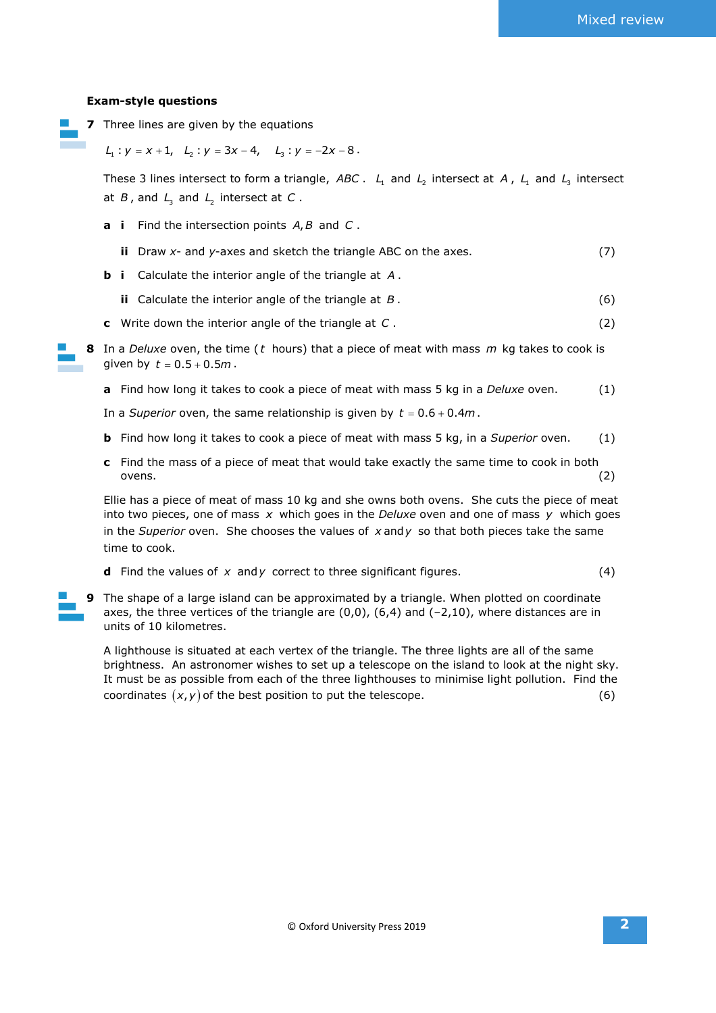## **Exam-style questions**

**7** Three lines are given by the equations

 $L_1: y = x + 1, L_2: y = 3x - 4, L_3: y = -2x - 8.$ 

These 3 lines intersect to form a triangle, *ABC* . L<sub>1</sub> and L<sub>2</sub> intersect at A, L<sub>1</sub> and L<sub>2</sub> intersect at *B*, and  $L_3$  and  $L_2$  intersect at *C*.

- **a i** Find the intersection points *A B*, and *C* .
	- **ii** Draw *x* and *y*-axes and sketch the triangle ABC on the axes. (7)
- **b i** Calculate the interior angle of the triangle at *A* .
	- **ii** Calculate the interior angle of the triangle at *B* . (6)
- **c** Write down the interior angle of the triangle at *C* . (2)
- **8** In a *Deluxe* oven, the time ( *t* hours) that a piece of meat with mass *m* kg takes to cook is given by  $t = 0.5 + 0.5m$ .
	- **a** Find how long it takes to cook a piece of meat with mass 5 kg in a *Deluxe* oven. (1)

In a *Superior* oven, the same relationship is given by  $t = 0.6 + 0.4m$ .

- **b** Find how long it takes to cook a piece of meat with mass 5 kg, in a *Superior* oven. (1)
- **c** Find the mass of a piece of meat that would take exactly the same time to cook in both ovens. (2)

Ellie has a piece of meat of mass 10 kg and she owns both ovens. She cuts the piece of meat into two pieces, one of mass *x* which goes in the *Deluxe* oven and one of mass *y* which goes in the *Superior* oven. She chooses the values of x and y so that both pieces take the same time to cook.

- **d** Find the values of  $x$  and  $y$  correct to three significant figures.  $(4)$
- **9** The shape of a large island can be approximated by a triangle. When plotted on coordinate axes, the three vertices of the triangle are  $(0,0)$ ,  $(6,4)$  and  $(-2,10)$ , where distances are in units of 10 kilometres.

A lighthouse is situated at each vertex of the triangle. The three lights are all of the same brightness. An astronomer wishes to set up a telescope on the island to look at the night sky. It must be as possible from each of the three lighthouses to minimise light pollution. Find the coordinates  $(x, y)$  of the best position to put the telescope.  $(6)$